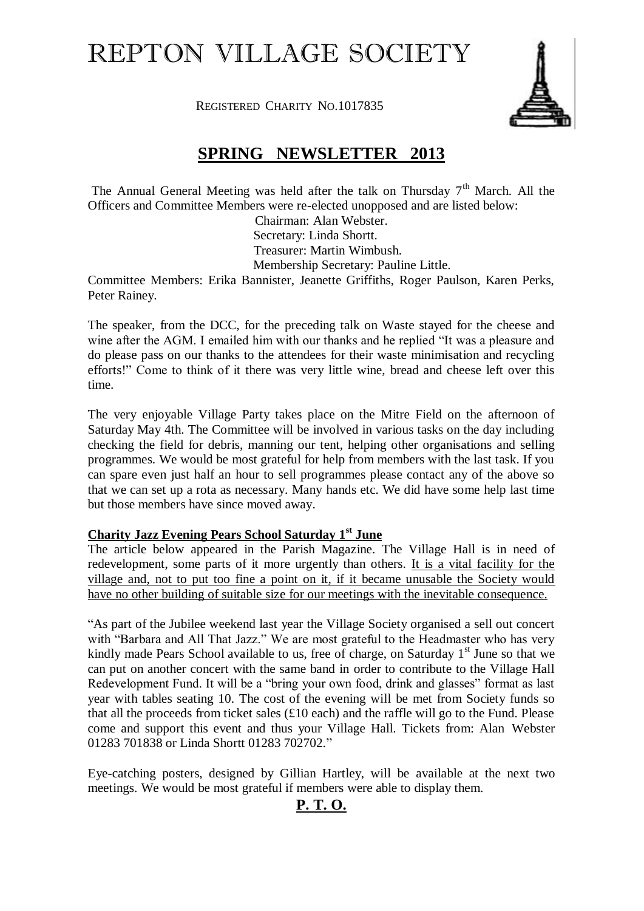# REPTON VILLAGE SOCIETY

REGISTERED CHARITY NO.1017835



## **SPRING NEWSLETTER 2013**

The Annual General Meeting was held after the talk on Thursday  $7<sup>th</sup>$  March. All the Officers and Committee Members were re-elected unopposed and are listed below:

Chairman: Alan Webster. Secretary: Linda Shortt. Treasurer: Martin Wimbush. Membership Secretary: Pauline Little.

Committee Members: Erika Bannister, Jeanette Griffiths, Roger Paulson, Karen Perks, Peter Rainey.

The speaker, from the DCC, for the preceding talk on Waste stayed for the cheese and wine after the AGM. I emailed him with our thanks and he replied "It was a pleasure and do please pass on our thanks to the attendees for their waste minimisation and recycling efforts!" Come to think of it there was very little wine, bread and cheese left over this time.

The very enjoyable Village Party takes place on the Mitre Field on the afternoon of Saturday May 4th. The Committee will be involved in various tasks on the day including checking the field for debris, manning our tent, helping other organisations and selling programmes. We would be most grateful for help from members with the last task. If you can spare even just half an hour to sell programmes please contact any of the above so that we can set up a rota as necessary. Many hands etc. We did have some help last time but those members have since moved away.

#### **Charity Jazz Evening Pears School Saturday 1st June**

The article below appeared in the Parish Magazine. The Village Hall is in need of redevelopment, some parts of it more urgently than others. It is a vital facility for the village and, not to put too fine a point on it, if it became unusable the Society would have no other building of suitable size for our meetings with the inevitable consequence.

"As part of the Jubilee weekend last year the Village Society organised a sell out concert with "Barbara and All That Jazz." We are most grateful to the Headmaster who has very kindly made Pears School available to us, free of charge, on Saturday  $1<sup>st</sup>$  June so that we can put on another concert with the same band in order to contribute to the Village Hall Redevelopment Fund. It will be a "bring your own food, drink and glasses" format as last year with tables seating 10. The cost of the evening will be met from Society funds so that all the proceeds from ticket sales  $(£10$  each) and the raffle will go to the Fund. Please come and support this event and thus your Village Hall. Tickets from: Alan Webster 01283 701838 or Linda Shortt 01283 702702."

Eye-catching posters, designed by Gillian Hartley, will be available at the next two meetings. We would be most grateful if members were able to display them.

### **P. T. O.**